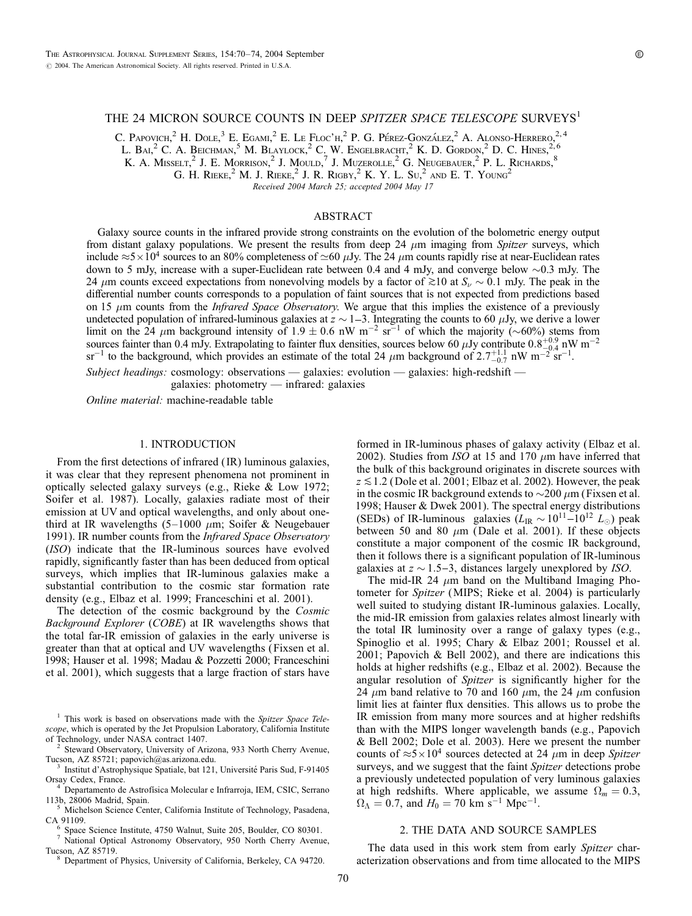## THE 24 MICRON SOURCE COUNTS IN DEEP SPITZER SPACE TELESCOPE SURVEYS<sup>1</sup>

C. Papovich, <sup>2</sup> H. Dole, <sup>3</sup> E. Egami, <sup>2</sup> E. Le Floc'h, <sup>2</sup> P. G. Pérez-González, <sup>2</sup> A. Alonso-Herrero, <sup>2, 4</sup>

L. Bal,<sup>2</sup> C. A. Beichman,<sup>5</sup> M. Blaylock,<sup>2</sup> C. W. Engelbracht,<sup>2</sup> K. D. Gordon,<sup>2</sup> D. C. Hines,<sup>2,6</sup>

K. A. Misselt,<sup>2</sup> J. E. Morrison,<sup>2</sup> J. Mould,<sup>7</sup> J. Muzerolle,<sup>2</sup> G. Neugebauer,<sup>2</sup> P. L. Richards,<sup>8</sup>

G. H. RIEKE,<sup>2</sup> M. J. RIEKE,<sup>2</sup> J. R. RIGBY,<sup>2</sup> K. Y. L. Su,<sup>2</sup> and E. T. Young<sup>2</sup>

Received 2004 March 25; accepted 2004 May 17

## ABSTRACT

Galaxy source counts in the infrared provide strong constraints on the evolution of the bolometric energy output from distant galaxy populations. We present the results from deep 24  $\mu$ m imaging from Spitzer surveys, which include  $\approx$  5  $\times$  10<sup>4</sup> sources to an 80% completeness of  $\approx$  60  $\mu$ Jy. The 24  $\mu$ m counts rapidly rise at near-Euclidean rates down to 5 mJy, increase with a super-Euclidean rate between 0.4 and 4 mJy, and converge below  $\sim$ 0.3 mJy. The 24  $\mu$ m counts exceed expectations from nonevolving models by a factor of  $\gtrsim$  10 at  $S_{\nu} \sim 0.1$  mJy. The peak in the differential number counts corresponds to a population of faint sources that is not expected from predictions based on 15  $\mu$ m counts from the *Infrared Space Observatory*. We argue that this implies the existence of a previously undetected population of infrared-luminous galaxies at  $z \sim 1$ –3. Integrating the counts to 60  $\mu$ Jy, we derive a lower limit on the 24  $\mu$ m background intensity of 1.9  $\pm$  0.6 nW m<sup>-2</sup> sr<sup>-1</sup> of which the majority (~60%) stems from sources fainter than 0.4 mJy. Extrapolating to fainter flux densities, sources below 60  $\mu$ Jy contribute 0.8<sup>+0.9</sup> nW m<sup>-2</sup>  $sr^{-1}$  to the background, which provides an estimate of the total 24  $\mu$ m background of 2.7<sup>+1.1</sup>, nW m<sup>-2'</sup>sr<sup>-1</sup>.

Subject headings: cosmology: observations — galaxies: evolution — galaxies: high-redshift galaxies: photometry — infrared: galaxies

Online material: machine-readable table

### 1. INTRODUCTION

From the first detections of infrared ( IR) luminous galaxies, it was clear that they represent phenomena not prominent in optically selected galaxy surveys (e.g., Rieke & Low 1972; Soifer et al. 1987). Locally, galaxies radiate most of their emission at UV and optical wavelengths, and only about onethird at IR wavelengths  $(5-1000 \mu m)$ ; Soifer & Neugebauer 1991). IR number counts from the *Infrared Space Observatory* (ISO) indicate that the IR-luminous sources have evolved rapidly, significantly faster than has been deduced from optical surveys, which implies that IR-luminous galaxies make a substantial contribution to the cosmic star formation rate density (e.g., Elbaz et al. 1999; Franceschini et al. 2001).

The detection of the cosmic background by the Cosmic Background Explorer (COBE) at IR wavelengths shows that the total far-IR emission of galaxies in the early universe is greater than that at optical and UV wavelengths ( Fixsen et al. 1998; Hauser et al. 1998; Madau & Pozzetti 2000; Franceschini et al. 2001), which suggests that a large fraction of stars have

<sup>2</sup> Steward Observatory, University of Arizona, 933 North Cherry Avenue,<br>Tucson, AZ 85721; papovich@as.arizona.edu.<br> $\frac{3}{2}$  Instituted Articulary

<sup>3</sup> Institut d'Astrophysique Spatiale, bat 121, Université Paris Sud, F-91405<br>Orsay Cedex, France.<br><sup>4</sup> Departamento de Astrofísico Malambras Life.

<sup>4</sup> Departamento de Astrofísica Molecular e Infrarroja, IEM, CSIC, Serrano<br>113b, 28006 Madrid, Spain.<br>5 Michelson Science Center Colifornia Instituta of Technol

<sup>5</sup> Michelson Science Center, California Institute of Technology, Pasadena, CA 91109.

<sup>6</sup> Space Science Institute, 4750 Walnut, Suite 205, Boulder, CO 80301.<br><sup>7</sup> National Optical Astronomy Observatory, 950 North Cherry Avenue, Tucson, AZ 85719.

Department of Physics, University of California, Berkeley, CA 94720.

formed in IR-luminous phases of galaxy activity (Elbaz et al. 2002). Studies from ISO at 15 and 170  $\mu$ m have inferred that the bulk of this background originates in discrete sources with  $z \lesssim 1.2$  (Dole et al. 2001; Elbaz et al. 2002). However, the peak in the cosmic IR background extends to  $\sim$ 200  $\mu$ m (Fixsen et al. 1998; Hauser & Dwek 2001). The spectral energy distributions (SEDs) of IR-luminous galaxies  $(L_{IR} \sim 10^{11} - 10^{12} L_{\odot})$  peak between 50 and 80  $\mu$ m (Dale et al. 2001). If these objects constitute a major component of the cosmic IR background, then it follows there is a significant population of IR-luminous galaxies at  $z \sim 1.5-3$ , distances largely unexplored by ISO.

The mid-IR 24  $\mu$ m band on the Multiband Imaging Photometer for Spitzer (MIPS; Rieke et al. 2004) is particularly well suited to studying distant IR-luminous galaxies. Locally, the mid-IR emission from galaxies relates almost linearly with the total IR luminosity over a range of galaxy types (e.g., Spinoglio et al. 1995; Chary & Elbaz 2001; Roussel et al. 2001; Papovich & Bell 2002), and there are indications this holds at higher redshifts (e.g., Elbaz et al. 2002). Because the angular resolution of *Spitzer* is significantly higher for the 24  $\mu$ m band relative to 70 and 160  $\mu$ m, the 24  $\mu$ m confusion limit lies at fainter flux densities. This allows us to probe the IR emission from many more sources and at higher redshifts than with the MIPS longer wavelength bands (e.g., Papovich & Bell 2002; Dole et al. 2003). Here we present the number counts of  $\approx 5 \times 10^4$  sources detected at 24  $\mu$ m in deep Spitzer surveys, and we suggest that the faint *Spitzer* detections probe a previously undetected population of very luminous galaxies at high redshifts. Where applicable, we assume  $\Omega_m = 0.3$ ,  $\Omega_{\Lambda} = 0.7$ , and  $H_0 = 70$  km s<sup>-1</sup> Mpc<sup>-1</sup>.

# 2. THE DATA AND SOURCE SAMPLES

The data used in this work stem from early Spitzer characterization observations and from time allocated to the MIPS

 $1$  This work is based on observations made with the Spitzer Space Telescope, which is operated by the Jet Propulsion Laboratory, California Institute<br>of Technology, under NASA contract 1407.<br> $\frac{2 \text{ Stewart Observatory}}{2 \text{ Stewart Observatory}}$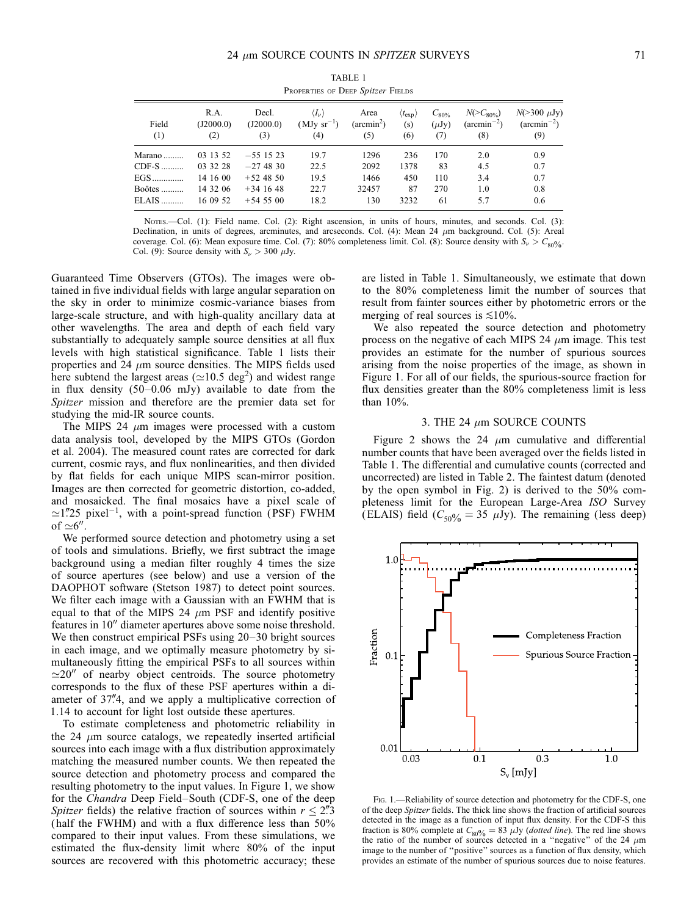| Field<br>(1) | R.A.<br>(J2000.0)<br>(2) | Decl.<br>(J2000.0)<br>(3) | $\langle I_{\nu} \rangle$<br>$(MJy sr^{-1})$<br>(4) | Area<br>$(\text{arcmin}^2)$<br>(5) | $(t_{\rm exp})$<br>(s)<br>(6) | $C_{80\%}$<br>$(\mu Jy)$<br>(7) | $N(>C_{80\%})$<br>$(\arcsin^{-2})$<br>(8) | $N(>300 \mu Jy)$<br>$(\text{arcmin}^{-2})$<br>(9) |
|--------------|--------------------------|---------------------------|-----------------------------------------------------|------------------------------------|-------------------------------|---------------------------------|-------------------------------------------|---------------------------------------------------|
| Marano       | 03 13 52                 | $-551523$                 | 19.7                                                | 1296                               | 236                           | 170                             | 2.0                                       | 0.9                                               |
| $CDF-S$      | 03 32 28                 | $-27,48,30$               | 22.5                                                | 2092                               | 1378                          | 83                              | 4.5                                       | 0.7                                               |
| $EGS$        | 14 16 00                 | $+524850$                 | 19.5                                                | 1466                               | 450                           | 110                             | 3.4                                       | 0.7                                               |
| Boötes       | 14 32 06                 | $+34$ 16 48               | 22.7                                                | 32457                              | 87                            | 270                             | 1.0                                       | 0.8                                               |
| $ELAIS$      | 16 09 52                 | $+54.55.00$               | 18.2                                                | 130                                | 3232                          | 61                              | 5.7                                       | 0.6                                               |

TABLE 1 PROPERTIES OF DEEP Spitzer FIELDS

Nores.—Col. (1): Field name. Col. (2): Right ascension, in units of hours, minutes, and seconds. Col. (3): Declination, in units of degrees, arcminutes, and arcseconds. Col. (4): Mean 24  $\mu$ m background. Col. (5): Areal coverage. Col. (6): Mean exposure time. Col. (7): 80% completeness limit. Col. (8): Source density with  $S_{\nu} > C_{80\%}$ . Col. (9): Source density with  $S_{\nu} > 300 \mu Jy$ .

Guaranteed Time Observers (GTOs). The images were obtained in five individual fields with large angular separation on the sky in order to minimize cosmic-variance biases from large-scale structure, and with high-quality ancillary data at other wavelengths. The area and depth of each field vary substantially to adequately sample source densities at all flux levels with high statistical significance. Table 1 lists their properties and 24  $\mu$ m source densities. The MIPS fields used here subtend the largest areas ( $\simeq$ 10.5 deg<sup>2</sup>) and widest range in flux density (50–0.06 mJy) available to date from the Spitzer mission and therefore are the premier data set for studying the mid-IR source counts.

The MIPS 24  $\mu$ m images were processed with a custom data analysis tool, developed by the MIPS GTOs (Gordon et al. 2004). The measured count rates are corrected for dark current, cosmic rays, and flux nonlinearities, and then divided by flat fields for each unique MIPS scan-mirror position. Images are then corrected for geometric distortion, co-added, and mosaicked. The final mosaics have a pixel scale of  $\simeq$ 1"25 pixel<sup>-1</sup>, with a point-spread function (PSF) FWHM of  $\simeq 6''$ .

We performed source detection and photometry using a set of tools and simulations. Briefly, we first subtract the image background using a median filter roughly 4 times the size of source apertures (see below) and use a version of the DAOPHOT software (Stetson 1987) to detect point sources. We filter each image with a Gaussian with an FWHM that is equal to that of the MIPS 24  $\mu$ m PSF and identify positive features in 10" diameter apertures above some noise threshold. We then construct empirical PSFs using 20–30 bright sources in each image, and we optimally measure photometry by simultaneously fitting the empirical PSFs to all sources within  $\approx$ 20<sup>*n*</sup> of nearby object centroids. The source photometry corresponds to the flux of these PSF apertures within a diameter of 37"4, and we apply a multiplicative correction of 1.14 to account for light lost outside these apertures.

To estimate completeness and photometric reliability in the 24  $\mu$ m source catalogs, we repeatedly inserted artificial sources into each image with a flux distribution approximately matching the measured number counts. We then repeated the source detection and photometry process and compared the resulting photometry to the input values. In Figure 1, we show for the Chandra Deep Field–South (CDF-S, one of the deep Spitzer fields) the relative fraction of sources within  $r \leq 2\rlap{.}^{\prime\prime}3$ ( half the FWHM) and with a flux difference less than 50% compared to their input values. From these simulations, we estimated the flux-density limit where 80% of the input sources are recovered with this photometric accuracy; these are listed in Table 1. Simultaneously, we estimate that down to the 80% completeness limit the number of sources that result from fainter sources either by photometric errors or the merging of real sources is  $\leq 10\%$ .

We also repeated the source detection and photometry process on the negative of each MIPS 24  $\mu$ m image. This test provides an estimate for the number of spurious sources arising from the noise properties of the image, as shown in Figure 1. For all of our fields, the spurious-source fraction for flux densities greater than the 80% completeness limit is less than 10%.

## 3. THE 24  $\mu$ m SOURCE COUNTS

Figure 2 shows the 24  $\mu$ m cumulative and differential number counts that have been averaged over the fields listed in Table 1. The differential and cumulative counts (corrected and uncorrected) are listed in Table 2. The faintest datum (denoted by the open symbol in Fig. 2) is derived to the 50% completeness limit for the European Large-Area ISO Survey (ELAIS) field ( $C_{50\%} = 35 \mu Jy$ ). The remaining (less deep)



Fig. 1.—Reliability of source detection and photometry for the CDF-S, one of the deep Spitzer fields. The thick line shows the fraction of artificial sources detected in the image as a function of input flux density. For the CDF-S this fraction is 80% complete at  $C_{80\%} = 83 \mu\text{Jy}$  (dotted line). The red line shows the ratio of the number of sources detected in a "negative" of the 24  $\mu\text{m}$ image to the number of ''positive'' sources as a function of flux density, which provides an estimate of the number of spurious sources due to noise features.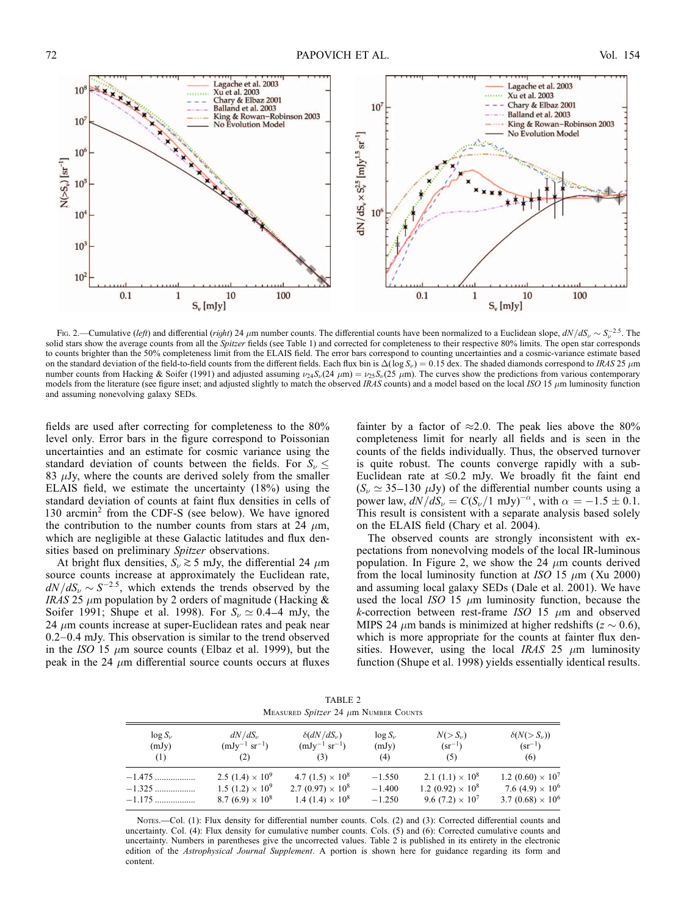

Fig. 2.—Cumulative (left) and differential (right) 24  $\mu$ m number counts. The differential counts have been normalized to a Euclidean slope,  $dN/dS_{\nu} \sim S_{\nu}^{-2.5}$ . The solid stars show the average counts from all the Spitzer fields (see Table 1) and corrected for completeness to their respective 80% limits. The open star corresponds to counts brighter than the 50% completeness limit from the ELAIS field. The error bars correspond to counting uncertainties and a cosmic-variance estimate based on the standard deviation of the field-to-field counts from the different fields. Each flux bin is  $\Delta(\log S_{\nu}) = 0.15$  dex. The shaded diamonds correspond to IRAS 25  $\mu$ m number counts from Hacking & Soifer (1991) and adjusted assuming  $\nu_{24}S_{\nu}(24 \mu m) = \nu_{25}S_{\nu}(25 \mu m)$ . The curves show the predictions from various contemporary models from the literature (see figure inset; and adjusted slightly to match the observed IRAS counts) and a model based on the local ISO 15  $\mu$ m luminosity function and assuming nonevolving galaxy SEDs.

fields are used after correcting for completeness to the 80% level only. Error bars in the figure correspond to Poissonian uncertainties and an estimate for cosmic variance using the standard deviation of counts between the fields. For  $S_{\nu} \leq$ 83  $\mu$ Jy, where the counts are derived solely from the smaller ELAIS field, we estimate the uncertainty (18%) using the standard deviation of counts at faint flux densities in cells of 130 arcmin<sup>2</sup> from the CDF-S (see below). We have ignored the contribution to the number counts from stars at 24  $\mu$ m, which are negligible at these Galactic latitudes and flux densities based on preliminary Spitzer observations.

At bright flux densities,  $S_{\nu} \gtrsim 5$  mJy, the differential 24  $\mu$ m source counts increase at approximately the Euclidean rate,  $dN/dS_v \sim S^{-2.5}$ , which extends the trends observed by the IRAS 25  $\mu$ m population by 2 orders of magnitude (Hacking & Soifer 1991; Shupe et al. 1998). For  $S_{\nu} \simeq 0.4-4$  mJy, the 24  $\mu$ m counts increase at super-Euclidean rates and peak near 0.2–0.4 mJy. This observation is similar to the trend observed in the ISO 15  $\mu$ m source counts (Elbaz et al. 1999), but the peak in the 24  $\mu$ m differential source counts occurs at fluxes

fainter by a factor of  $\approx 2.0$ . The peak lies above the 80% completeness limit for nearly all fields and is seen in the counts of the fields individually. Thus, the observed turnover is quite robust. The counts converge rapidly with a sub-Euclidean rate at  $\leq 0.2$  mJy. We broadly fit the faint end  $(S_{\nu} \simeq 35{\text -}130 \mu \text{Jy})$  of the differential number counts using a power law,  $dN/dS_{\nu} = C(S_{\nu}/1 \text{ mJy})^{-\alpha}$ , with  $\alpha = -1.5 \pm 0.1$ . This result is consistent with a separate analysis based solely on the ELAIS field (Chary et al. 2004).

The observed counts are strongly inconsistent with expectations from nonevolving models of the local IR-luminous population. In Figure 2, we show the 24  $\mu$ m counts derived from the local luminosity function at ISO 15  $\mu$ m (Xu 2000) and assuming local galaxy SEDs (Dale et al. 2001). We have used the local ISO 15  $\mu$ m luminosity function, because the k-correction between rest-frame ISO 15  $\mu$ m and observed MIPS 24  $\mu$ m bands is minimized at higher redshifts ( $z \sim 0.6$ ), which is more appropriate for the counts at fainter flux densities. However, using the local IRAS 25  $\mu$ m luminosity function (Shupe et al. 1998) yields essentially identical results.

TABLE 2 MEASURED Spitzer 24  $\mu$ m Number Counts

| $\log S_{\nu}$ | $dN/dS_{\nu}$                      | $\delta(dN/dS_{\nu})$               | $\log S_{\nu}$ | $N(>S_{\nu})$                       | $\delta(N(>S_{\nu}))$               |
|----------------|------------------------------------|-------------------------------------|----------------|-------------------------------------|-------------------------------------|
| (mJy)          | $(mJy^{-1} sr^{-1})$               | $(mJy^{-1} sr^{-1})$                | (mJy)          | $(sr^{-1})$                         | $(sr^{-1})$                         |
| (1)            | (2)                                | (3)                                 | (4)            | (5)                                 | (6)                                 |
| $-1.475$       | 2.5 $(1.4) \times 10^9$            | 4.7 $(1.5) \times 10^8$             | $-1.550$       | 2.1 $(1.1) \times 10^8$             | 1.2 (0.60) $\times$ 10 <sup>7</sup> |
| $-1.325$       | 1.5 $(1.2) \times 10^9$            | 2.7 (0.97) $\times$ 10 <sup>8</sup> | $-1.400$       | 1.2 (0.92) $\times$ 10 <sup>8</sup> | 7.6 (4.9) $\times$ 10 <sup>6</sup>  |
| $-1.175$       | 8.7 (6.9) $\times$ 10 <sup>8</sup> | 1.4 $(1.4) \times 10^8$             | $-1.250$       | 9.6 $(7.2) \times 10^7$             | 3.7 (0.68) $\times$ 10 <sup>6</sup> |

Nores.—Col. (1): Flux density for differential number counts. Cols. (2) and (3): Corrected differential counts and uncertainty. Col. (4): Flux density for cumulative number counts. Cols. (5) and (6): Corrected cumulative counts and uncertainty. Numbers in parentheses give the uncorrected values. Table 2 is published in its entirety in the electronic edition of the Astrophysical Journal Supplement. A portion is shown here for guidance regarding its form and content.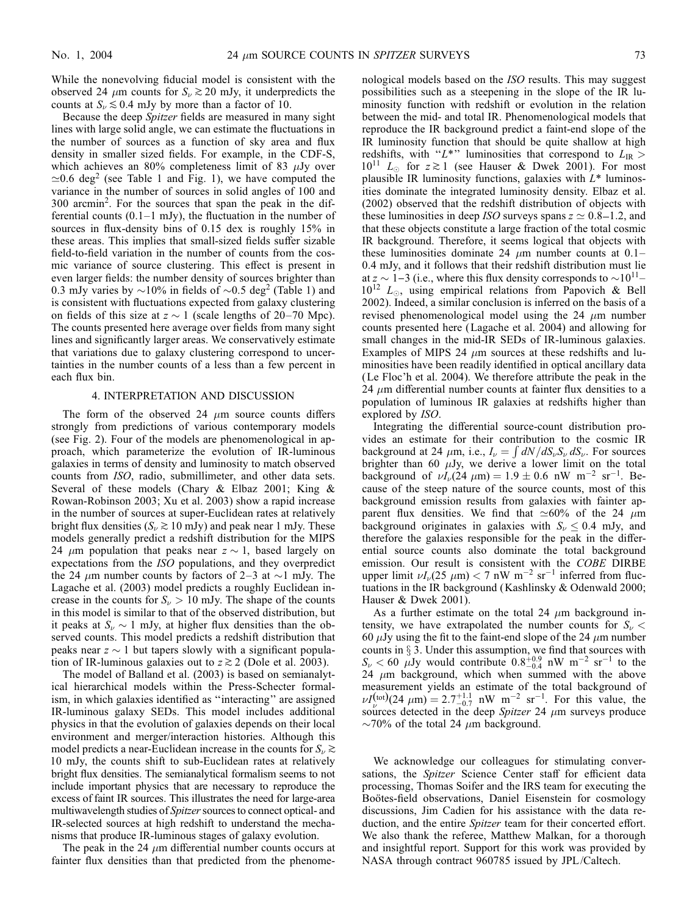While the nonevolving fiducial model is consistent with the observed 24  $\mu$ m counts for  $S_{\nu} \gtrsim 20$  mJy, it underpredicts the counts at  $S_{\nu} \lesssim 0.4$  mJy by more than a factor of 10.

Because the deep Spitzer fields are measured in many sight lines with large solid angle, we can estimate the fluctuations in the number of sources as a function of sky area and flux density in smaller sized fields. For example, in the CDF-S, which achieves an 80% completeness limit of 83  $\mu$ Jy over  $\approx 0.6$  deg<sup>2</sup> (see Table 1 and Fig. 1), we have computed the variance in the number of sources in solid angles of 100 and  $300$  arcmin<sup>2</sup>. For the sources that span the peak in the differential counts  $(0.1-1$  mJy), the fluctuation in the number of sources in flux-density bins of 0.15 dex is roughly 15% in these areas. This implies that small-sized fields suffer sizable field-to-field variation in the number of counts from the cosmic variance of source clustering. This effect is present in even larger fields: the number density of sources brighter than 0.3 mJy varies by  $\sim$ 10% in fields of  $\sim$ 0.5 deg<sup>2</sup> (Table 1) and is consistent with fluctuations expected from galaxy clustering on fields of this size at  $z \sim 1$  (scale lengths of 20–70 Mpc). The counts presented here average over fields from many sight lines and significantly larger areas. We conservatively estimate that variations due to galaxy clustering correspond to uncertainties in the number counts of a less than a few percent in each flux bin.

## 4. INTERPRETATION AND DISCUSSION

The form of the observed 24  $\mu$ m source counts differs strongly from predictions of various contemporary models (see Fig. 2). Four of the models are phenomenological in approach, which parameterize the evolution of IR-luminous galaxies in terms of density and luminosity to match observed counts from ISO, radio, submillimeter, and other data sets. Several of these models (Chary & Elbaz 2001; King & Rowan-Robinson 2003; Xu et al. 2003) show a rapid increase in the number of sources at super-Euclidean rates at relatively bright flux densities ( $S_{\nu} \gtrsim 10 \text{ mJy}$ ) and peak near 1 mJy. These models generally predict a redshift distribution for the MIPS 24  $\mu$ m population that peaks near  $z \sim 1$ , based largely on expectations from the ISO populations, and they overpredict the 24  $\mu$ m number counts by factors of 2–3 at  $\sim$ 1 mJy. The Lagache et al. (2003) model predicts a roughly Euclidean increase in the counts for  $S_{\nu} > 10$  mJy. The shape of the counts in this model is similar to that of the observed distribution, but it peaks at  $S_{\nu} \sim 1$  mJy, at higher flux densities than the observed counts. This model predicts a redshift distribution that peaks near  $z \sim 1$  but tapers slowly with a significant population of IR-luminous galaxies out to  $z \gtrsim 2$  (Dole et al. 2003).

The model of Balland et al. (2003) is based on semianalytical hierarchical models within the Press-Schecter formalism, in which galaxies identified as ''interacting'' are assigned IR-luminous galaxy SEDs. This model includes additional physics in that the evolution of galaxies depends on their local environment and merger/interaction histories. Although this model predicts a near-Euclidean increase in the counts for  $S_{\nu} \gtrsim$ 10 mJy, the counts shift to sub-Euclidean rates at relatively bright flux densities. The semianalytical formalism seems to not include important physics that are necessary to reproduce the excess of faint IR sources. This illustrates the need for large-area multiwavelength studies of *Spitzer* sources to connect optical- and IR-selected sources at high redshift to understand the mechanisms that produce IR-luminous stages of galaxy evolution.

The peak in the 24  $\mu$ m differential number counts occurs at fainter flux densities than that predicted from the phenome-

nological models based on the ISO results. This may suggest possibilities such as a steepening in the slope of the IR luminosity function with redshift or evolution in the relation between the mid- and total IR. Phenomenological models that reproduce the IR background predict a faint-end slope of the IR luminosity function that should be quite shallow at high redshifts, with "L<sup>\*</sup>" luminosities that correspond to  $L_{IR}$  $10^{11}$   $L_{\odot}$  for  $z \gtrsim 1$  (see Hauser & Dwek 2001). For most plausible IR luminosity functions, galaxies with  $L^*$  luminosities dominate the integrated luminosity density. Elbaz et al. (2002) observed that the redshift distribution of objects with these luminosities in deep ISO surveys spans  $z \approx 0.8 - 1.2$ , and that these objects constitute a large fraction of the total cosmic IR background. Therefore, it seems logical that objects with these luminosities dominate 24  $\mu$ m number counts at 0.1– 0.4 mJy, and it follows that their redshift distribution must lie at  $z \sim 1-3$  (i.e., where this flux density corresponds to  $\sim 10^{11} 10^{12}$   $L_{\odot}$ , using empirical relations from Papovich & Bell 2002). Indeed, a similar conclusion is inferred on the basis of a revised phenomenological model using the 24  $\mu$ m number counts presented here (Lagache et al. 2004) and allowing for small changes in the mid-IR SEDs of IR-luminous galaxies. Examples of MIPS 24  $\mu$ m sources at these redshifts and luminosities have been readily identified in optical ancillary data (Le Floc'h et al. 2004). We therefore attribute the peak in the 24  $\mu$ m differential number counts at fainter flux densities to a population of luminous IR galaxies at redshifts higher than explored by ISO.

Integrating the differential source-count distribution provides an estimate for their contribution to the cosmic IR background at 24  $\mu$ m, i.e.,  $I_{\nu} = \int dN/dS_{\nu}S_{\nu} dS_{\nu}$ . For sources brighter than 60  $\mu$ Jy, we derive a lower limit on the total background of  $\nu I_{\nu}(24 \mu m) = 1.9 \pm 0.6 \text{ nW } m^{-2} \text{ sr}^{-1}$ . Because of the steep nature of the source counts, most of this background emission results from galaxies with fainter apparent flux densities. We find that  $\simeq 60\%$  of the 24  $\mu$ m background originates in galaxies with  $S_{\nu} \leq 0.4$  mJy, and therefore the galaxies responsible for the peak in the differential source counts also dominate the total background emission. Our result is consistent with the COBE DIRBE upper limit  $\nu I_{\nu}(25 \mu m) < 7 \text{ nW m}^{-2} \text{ sr}^{-1}$  inferred from fluctuations in the IR background (Kashlinsky & Odenwald 2000; Hauser & Dwek 2001).

As a further estimate on the total 24  $\mu$ m background intensity, we have extrapolated the number counts for  $S_{\nu}$  < 60  $\mu$ Jy using the fit to the faint-end slope of the 24  $\mu$ m number counts in  $\S 3$ . Under this assumption, we find that sources with  $S_{\nu} < 60$   $\mu$ Jy would contribute  $0.8^{+0.9}_{-0.4}$  nW m<sup>-2</sup> sr<sup>-1</sup> to the 24  $\mu$ m background, which when summed with the above measurement yields an estimate of the total background of  $\nu I_{\nu}^{(\text{tot})}(24 \ \mu\text{m}) = 2.7^{+1.1}_{-0.7} \text{ nW m}^{-2} \text{ sr}^{-1}$ . For this value, the sources detected in the deep Spitzer 24  $\mu$ m surveys produce  $\sim$ 70% of the total 24  $\mu$ m background.

We acknowledge our colleagues for stimulating conversations, the Spitzer Science Center staff for efficient data processing, Thomas Soifer and the IRS team for executing the Boötes-field observations, Daniel Eisenstein for cosmology discussions, Jim Cadien for his assistance with the data reduction, and the entire Spitzer team for their concerted effort. We also thank the referee, Matthew Malkan, for a thorough and insightful report. Support for this work was provided by NASA through contract 960785 issued by JPL/Caltech.